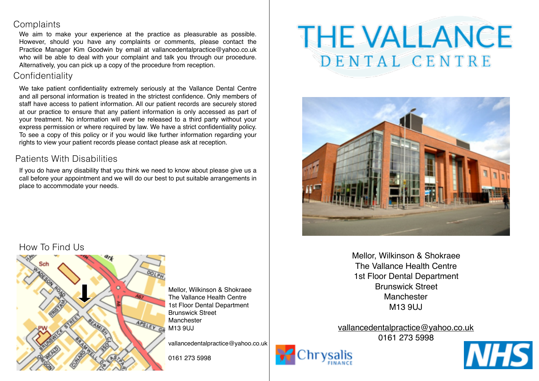## **Complaints**

We aim to make your experience at the practice as pleasurable as possible. However, should you have any complaints or comments, please contact the Practice Manager Kim Goodwin by email at [vallancedentalpractice@yahoo.co.uk](mailto:vallancedentalpractice@yahoo.co.uk) who will be able to deal with your complaint and talk you through our procedure. Alternatively, you can pick up a copy of the procedure from reception.

# Confidentiality

We take patient confidentiality extremely seriously at the Vallance Dental Centre and all personal information is treated in the strictest confidence. Only members of staff have access to patient information. All our patient records are securely stored at our practice to ensure that any patient information is only accessed as part of your treatment. No information will ever be released to a third party without your express permission or where required by law. We have a strict confidentiality policy. To see a copy of this policy or if you would like further information regarding your rights to view your patient records please contact please ask at reception.

# Patients With Disabilities

If you do have any disability that you think we need to know about please give us a call before your appointment and we will do our best to put suitable arrangements in place to accommodate your needs.

# **THE VALLANCE** DENTAL CENTRE



Mellor, Wilkinson & Shokraee The Vallance Health Centre 1st Floor Dental Department Brunswick Street Manchester M13 9UJ

[vallancedentalpractice@yahoo.co.uk](mailto:vallancedentalpractice@yahoo.co.uk) 0161 273 5998





# How To Find Us



Mellor, Wilkinson & Shokraee The Vallance Health Centre 1st Floor Dental Department Brunswick Street **Manchester** M13 9UJ

[vallancedentalpractice@yahoo.co.uk](mailto:vallancedentalpractice@yahoo.co.uk)

0161 273 5998